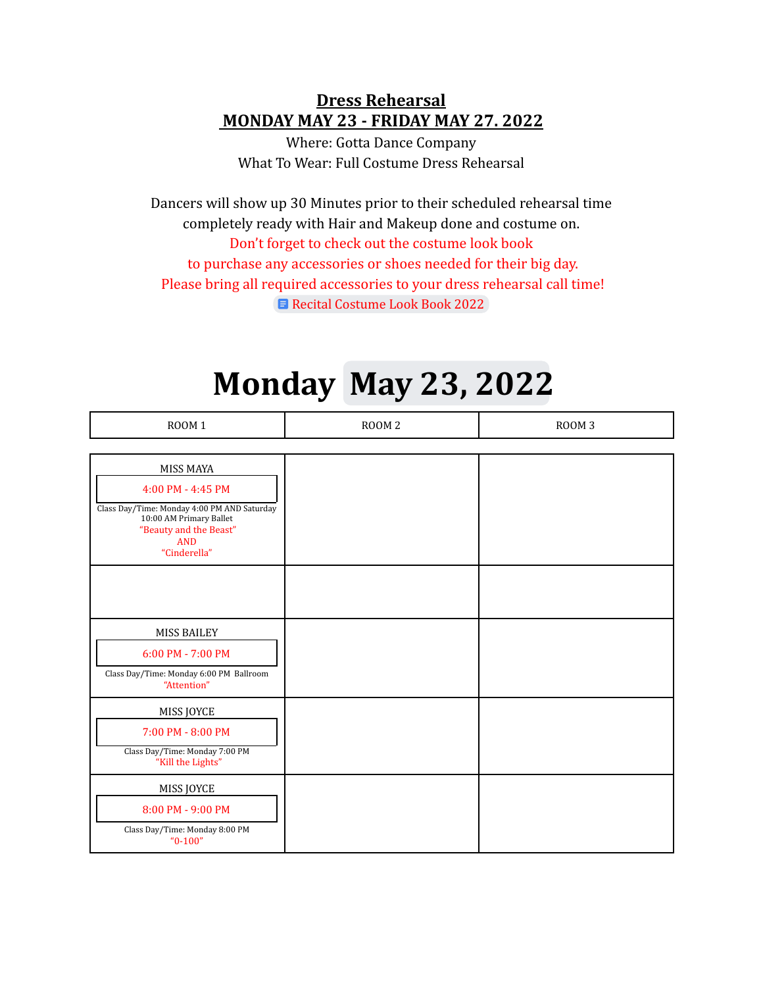#### **Dress Rehearsal MONDAY MAY 23 - FRIDAY MAY 27. 2022**

Where: Gotta Dance Company What To Wear: Full Costume Dress Rehearsal

Dancers will show up 30 Minutes prior to their scheduled rehearsal time completely ready with Hair and Makeup done and costume on. Don't forget to check out the costume look book to purchase any accessories or shoes needed for their big day. Please bring all required accessories to your dress rehearsal call time! Recital [Costume](https://docs.google.com/document/d/1-AN0hQyE5Z6HtMXDuped3jdUJyP4h0r3T_j4Wg-rQVg/edit?usp=sharing) Look Book 2022

### **Monday May 23, 2022**

| <b>ROOM 1</b>                                                                                                                                                    | ROOM <sub>2</sub> | ROOM <sub>3</sub> |
|------------------------------------------------------------------------------------------------------------------------------------------------------------------|-------------------|-------------------|
|                                                                                                                                                                  |                   |                   |
| MISS MAYA<br>4:00 PM - 4:45 PM<br>Class Day/Time: Monday 4:00 PM AND Saturday<br>10:00 AM Primary Ballet<br>"Beauty and the Beast"<br><b>AND</b><br>"Cinderella" |                   |                   |
|                                                                                                                                                                  |                   |                   |
| MISS BAILEY<br>6:00 PM - 7:00 PM<br>Class Day/Time: Monday 6:00 PM Ballroom<br>"Attention"                                                                       |                   |                   |
| MISS JOYCE<br>7:00 PM - 8:00 PM<br>Class Day/Time: Monday 7:00 PM<br>"Kill the Lights"                                                                           |                   |                   |
| MISS JOYCE<br>8:00 PM - 9:00 PM<br>Class Day/Time: Monday 8:00 PM<br>$"0-100"$                                                                                   |                   |                   |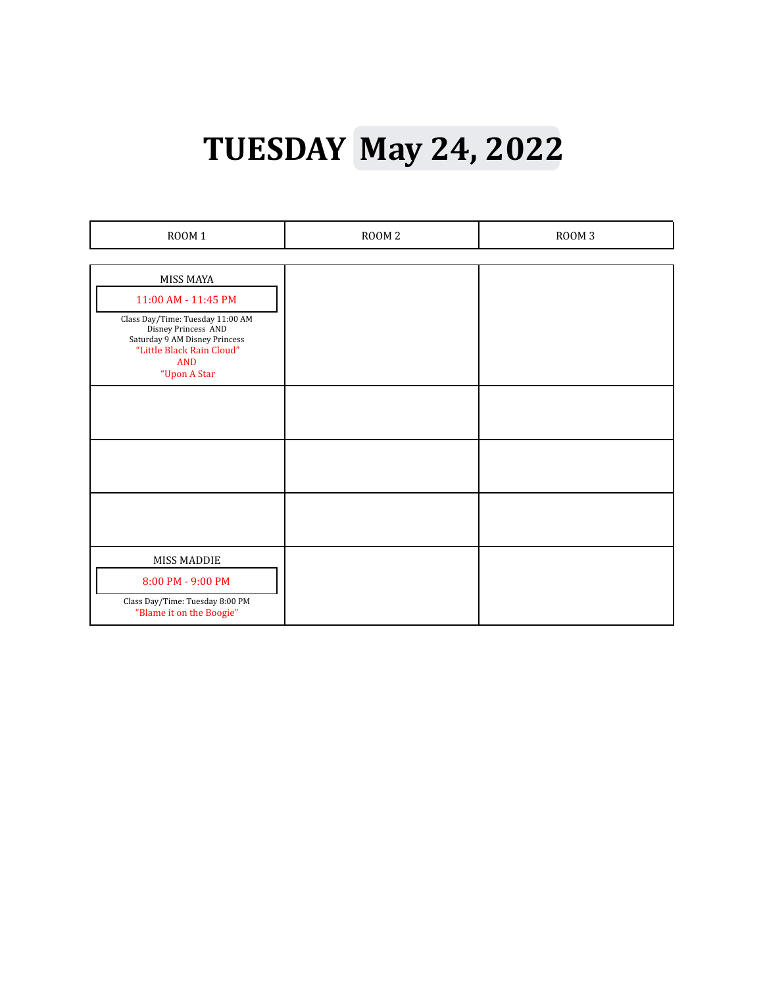## **TUESDAY May 24, 2022**

| <b>ROOM 1</b>                                              | ROOM <sub>2</sub> | ROOM 3 |
|------------------------------------------------------------|-------------------|--------|
|                                                            |                   |        |
| MISS MAYA                                                  |                   |        |
| 11:00 AM - 11:45 PM                                        |                   |        |
| Class Day/Time: Tuesday 11:00 AM<br>Disney Princess AND    |                   |        |
| Saturday 9 AM Disney Princess<br>"Little Black Rain Cloud" |                   |        |
| <b>AND</b><br>"Upon A Star                                 |                   |        |
|                                                            |                   |        |
|                                                            |                   |        |
|                                                            |                   |        |
|                                                            |                   |        |
|                                                            |                   |        |
|                                                            |                   |        |
|                                                            |                   |        |
|                                                            |                   |        |
| <b>MISS MADDIE</b>                                         |                   |        |
| 8:00 PM - 9:00 PM                                          |                   |        |
| Class Day/Time: Tuesday 8:00 PM                            |                   |        |
| "Blame it on the Boogie"                                   |                   |        |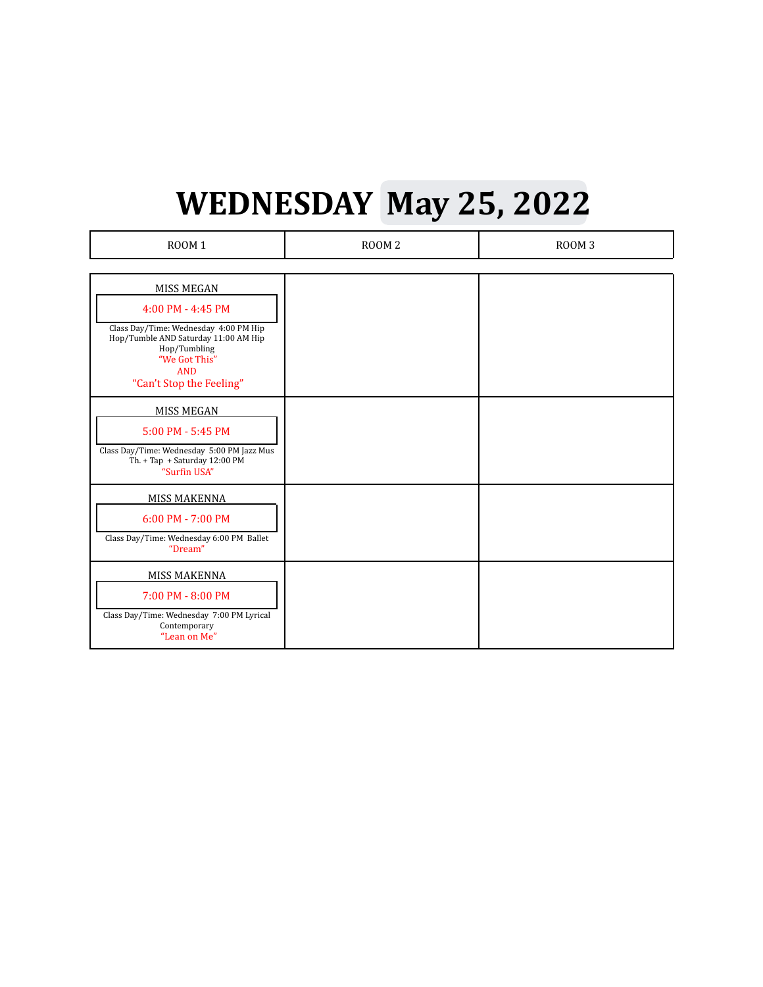# **WEDNESDAY May 25, 2022**

| ROOM <sub>1</sub>                                                                                                                                                                                  | ROOM <sub>2</sub> | ROOM <sub>3</sub> |
|----------------------------------------------------------------------------------------------------------------------------------------------------------------------------------------------------|-------------------|-------------------|
| <b>MISS MEGAN</b><br>4:00 PM - 4:45 PM<br>Class Day/Time: Wednesday 4:00 PM Hip<br>Hop/Tumble AND Saturday 11:00 AM Hip<br>Hop/Tumbling<br>"We Got This"<br><b>AND</b><br>"Can't Stop the Feeling" |                   |                   |
| MISS MEGAN<br>5:00 PM - 5:45 PM<br>Class Day/Time: Wednesday 5:00 PM Jazz Mus<br>Th. + Tap + Saturday 12:00 PM<br>"Surfin USA"                                                                     |                   |                   |
| <b>MISS MAKENNA</b><br>6:00 PM - 7:00 PM<br>Class Day/Time: Wednesday 6:00 PM Ballet<br>"Dream"                                                                                                    |                   |                   |
| MISS MAKENNA<br>7:00 PM - 8:00 PM<br>Class Day/Time: Wednesday 7:00 PM Lyrical<br>Contemporary<br>"Lean on Me"                                                                                     |                   |                   |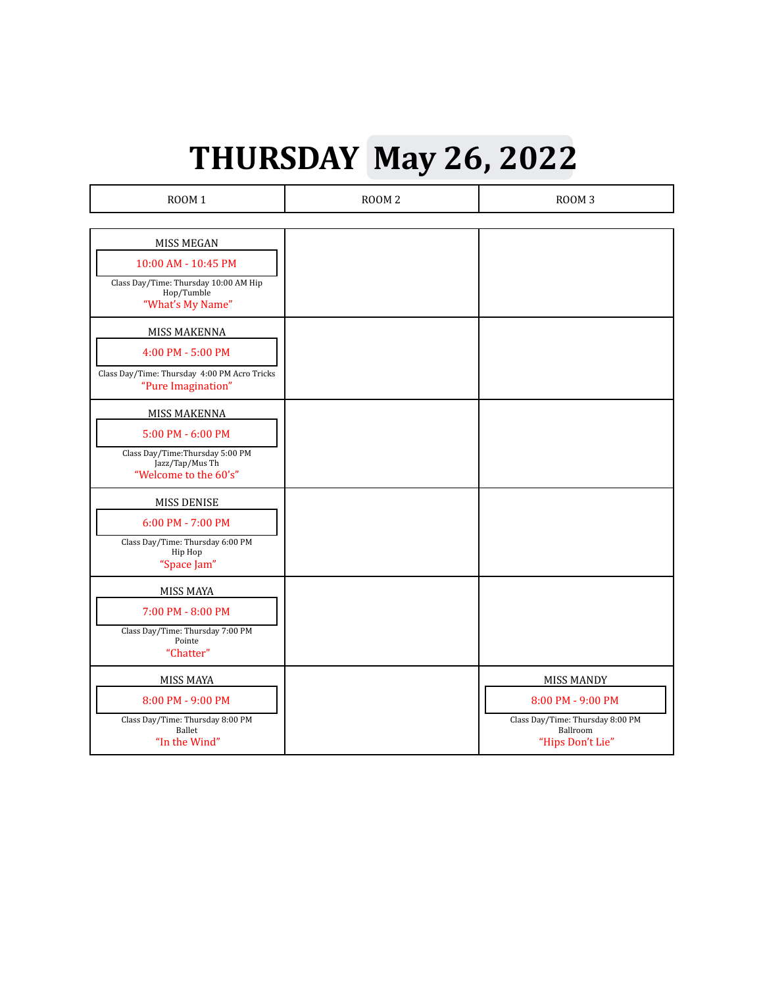## **THURSDAY May 26, 2022**

| ROOM <sub>1</sub>                                                                                                 | ROOM <sub>2</sub> | ROOM <sub>3</sub>                                                                                          |
|-------------------------------------------------------------------------------------------------------------------|-------------------|------------------------------------------------------------------------------------------------------------|
|                                                                                                                   |                   |                                                                                                            |
| MISS MEGAN<br>10:00 AM - 10:45 PM<br>Class Day/Time: Thursday 10:00 AM Hip<br>Hop/Tumble<br>"What's My Name"      |                   |                                                                                                            |
| MISS MAKENNA<br>4:00 PM - 5:00 PM<br>Class Day/Time: Thursday 4:00 PM Acro Tricks<br>"Pure Imagination"           |                   |                                                                                                            |
| MISS MAKENNA<br>5:00 PM - 6:00 PM<br>Class Day/Time: Thursday 5:00 PM<br>Jazz/Tap/Mus Th<br>"Welcome to the 60's" |                   |                                                                                                            |
| <b>MISS DENISE</b><br>6:00 PM - 7:00 PM<br>Class Day/Time: Thursday 6:00 PM<br>Hip Hop<br>"Space Jam"             |                   |                                                                                                            |
| MISS MAYA<br>7:00 PM - 8:00 PM<br>Class Day/Time: Thursday 7:00 PM<br>Pointe<br>"Chatter"                         |                   |                                                                                                            |
| <b>MISS MAYA</b><br>8:00 PM - 9:00 PM<br>Class Day/Time: Thursday 8:00 PM<br>Ballet<br>"In the Wind"              |                   | <b>MISS MANDY</b><br>8:00 PM - 9:00 PM<br>Class Day/Time: Thursday 8:00 PM<br>Ballroom<br>"Hips Don't Lie" |